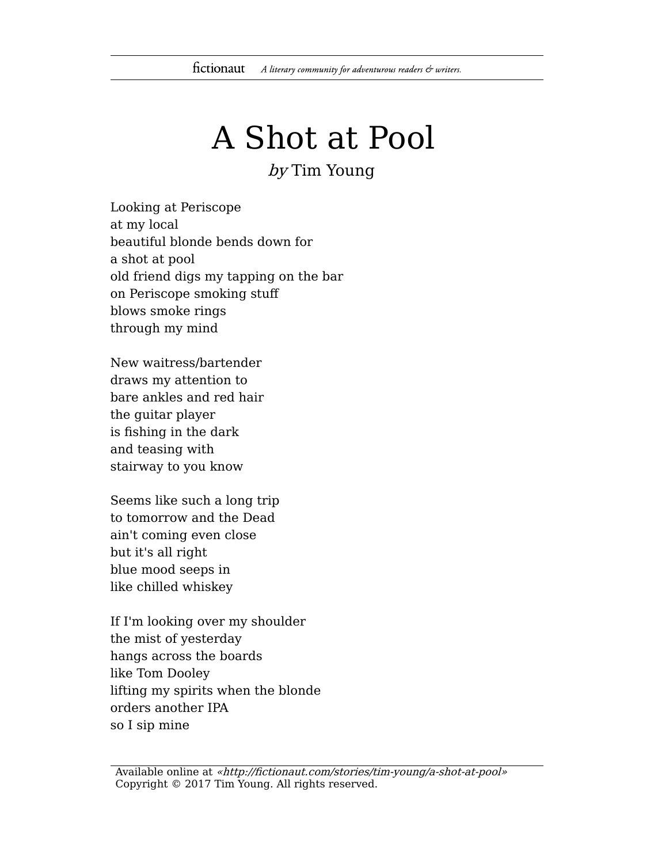## A Shot at Pool

by Tim Young

Looking at Periscope at my local beautiful blonde bends down for a shot at pool old friend digs my tapping on the bar on Periscope smoking stuff blows smoke rings through my mind

New waitress/bartender draws my attention to bare ankles and red hair the guitar player is fishing in the dark and teasing with stairway to you know

Seems like such a long trip to tomorrow and the Dead ain't coming even close but it's all right blue mood seeps in like chilled whiskey

If I'm looking over my shoulder the mist of yesterday hangs across the boards like Tom Dooley lifting my spirits when the blonde orders another IPA so I sip mine

Available online at «http://fictionaut.com/stories/tim-young/a-shot-at-pool» Copyright © 2017 Tim Young. All rights reserved.